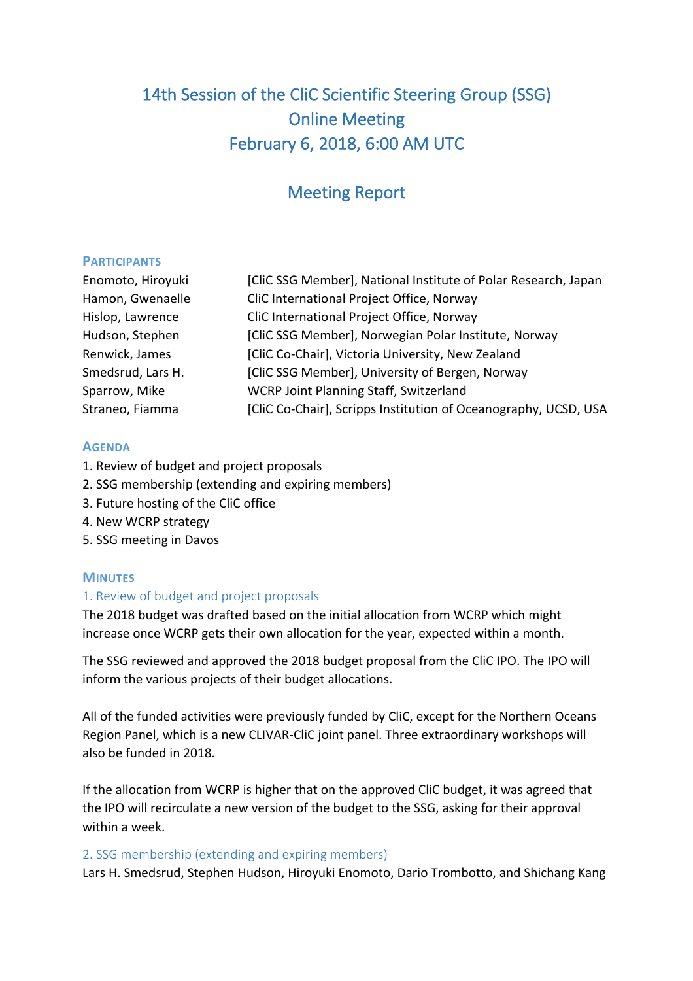# 14th Session of the CliC Scientific Steering Group (SSG) Online Meeting February 6, 2018, 6:00 AM UTC

## Meeting Report

#### **PARTICIPANTS**

| Enomoto, Hiroyuki | [CliC SSG Member], National Institute of Polar Research, Japan  |
|-------------------|-----------------------------------------------------------------|
| Hamon, Gwenaelle  | CliC International Project Office, Norway                       |
| Hislop, Lawrence  | CliC International Project Office, Norway                       |
| Hudson, Stephen   | [CliC SSG Member], Norwegian Polar Institute, Norway            |
| Renwick, James    | [CliC Co-Chair], Victoria University, New Zealand               |
| Smedsrud, Lars H. | [CliC SSG Member], University of Bergen, Norway                 |
| Sparrow, Mike     | WCRP Joint Planning Staff, Switzerland                          |
| Straneo, Fiamma   | [CliC Co-Chair], Scripps Institution of Oceanography, UCSD, USA |

#### **AGENDA**

- 1. Review of budget and project proposals
- 2. SSG membership (extending and expiring members)
- 3. Future hosting of the CliC office
- 4. New WCRP strategy
- 5. SSG meeting in Davos

#### **MINUTES**

#### 1. Review of budget and project proposals

The 2018 budget was drafted based on the initial allocation from WCRP which might increase once WCRP gets their own allocation for the year, expected within a month.

The SSG reviewed and approved the 2018 budget proposal from the CliC IPO. The IPO will inform the various projects of their budget allocations.

All of the funded activities were previously funded by CliC, except for the Northern Oceans Region Panel, which is a new CLIVAR-CliC joint panel. Three extraordinary workshops will also be funded in 2018.

If the allocation from WCRP is higher that on the approved CliC budget, it was agreed that the IPO will recirculate a new version of the budget to the SSG, asking for their approval within a week.

#### 2. SSG membership (extending and expiring members)

Lars H. Smedsrud, Stephen Hudson, Hiroyuki Enomoto, Dario Trombotto, and Shichang Kang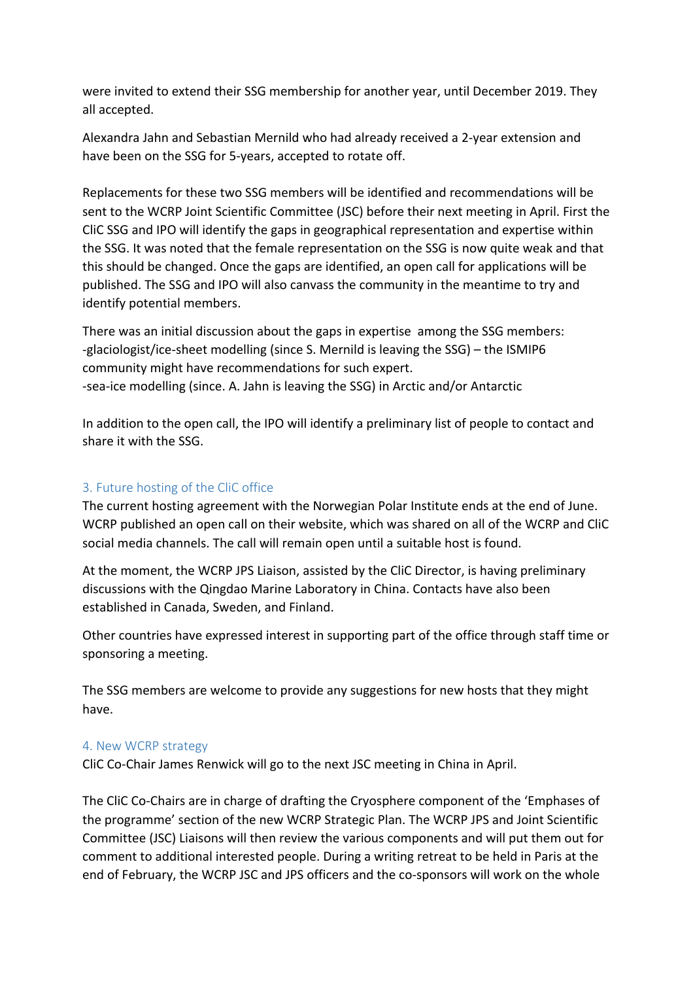were invited to extend their SSG membership for another year, until December 2019. They all accepted.

Alexandra Jahn and Sebastian Mernild who had already received a 2-year extension and have been on the SSG for 5-years, accepted to rotate off.

Replacements for these two SSG members will be identified and recommendations will be sent to the WCRP Joint Scientific Committee (JSC) before their next meeting in April. First the CliC SSG and IPO will identify the gaps in geographical representation and expertise within the SSG. It was noted that the female representation on the SSG is now quite weak and that this should be changed. Once the gaps are identified, an open call for applications will be published. The SSG and IPO will also canvass the community in the meantime to try and identify potential members.

There was an initial discussion about the gaps in expertise among the SSG members: -glaciologist/ice-sheet modelling (since S. Mernild is leaving the SSG) – the ISMIP6 community might have recommendations for such expert. -sea-ice modelling (since. A. Jahn is leaving the SSG) in Arctic and/or Antarctic

In addition to the open call, the IPO will identify a preliminary list of people to contact and share it with the SSG.

## 3. Future hosting of the CliC office

The current hosting agreement with the Norwegian Polar Institute ends at the end of June. WCRP published an open call on their website, which was shared on all of the WCRP and CliC social media channels. The call will remain open until a suitable host is found.

At the moment, the WCRP JPS Liaison, assisted by the CliC Director, is having preliminary discussions with the Qingdao Marine Laboratory in China. Contacts have also been established in Canada, Sweden, and Finland.

Other countries have expressed interest in supporting part of the office through staff time or sponsoring a meeting.

The SSG members are welcome to provide any suggestions for new hosts that they might have.

## 4. New WCRP strategy

CliC Co-Chair James Renwick will go to the next JSC meeting in China in April.

The CliC Co-Chairs are in charge of drafting the Cryosphere component of the 'Emphases of the programme' section of the new WCRP Strategic Plan. The WCRP JPS and Joint Scientific Committee (JSC) Liaisons will then review the various components and will put them out for comment to additional interested people. During a writing retreat to be held in Paris at the end of February, the WCRP JSC and JPS officers and the co-sponsors will work on the whole